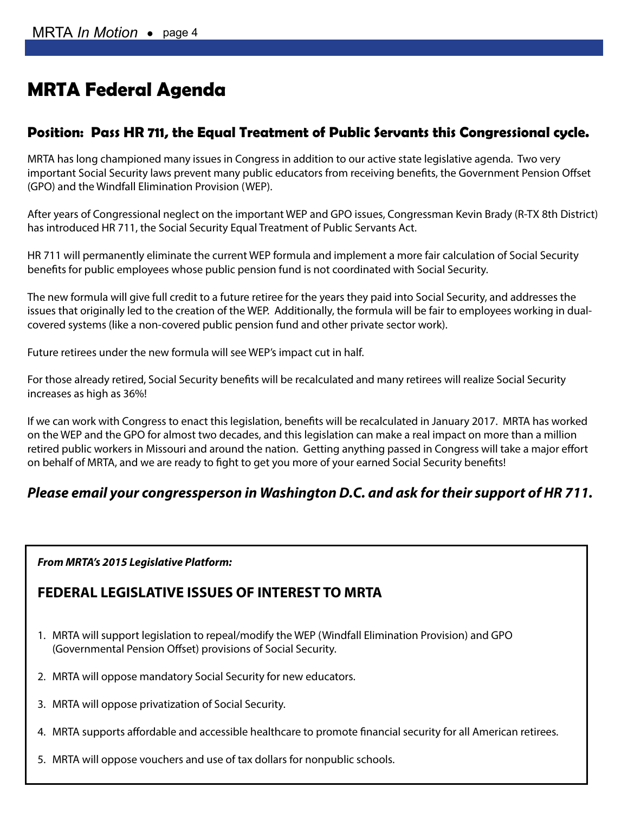# **MRTA Federal Agenda**

### **Position: Pass HR 711, the Equal Treatment of Public Servants this Congressional cycle.**

MRTA has long championed many issues in Congress in addition to our active state legislative agenda. Two very important Social Security laws prevent many public educators from receiving benefits, the Government Pension Offset (GPO) and the Windfall Elimination Provision (WEP).

After years of Congressional neglect on the important WEP and GPO issues, Congressman Kevin Brady (R-TX 8th District) has introduced HR 711, the Social Security Equal Treatment of Public Servants Act.

HR 711 will permanently eliminate the current WEP formula and implement a more fair calculation of Social Security benefits for public employees whose public pension fund is not coordinated with Social Security.

The new formula will give full credit to a future retiree for the years they paid into Social Security, and addresses the issues that originally led to the creation of the WEP. Additionally, the formula will be fair to employees working in dualcovered systems (like a non-covered public pension fund and other private sector work).

Future retirees under the new formula will see WEP's impact cut in half.

For those already retired, Social Security benefits will be recalculated and many retirees will realize Social Security increases as high as 36%!

If we can work with Congress to enact this legislation, benefits will be recalculated in January 2017. MRTA has worked on the WEP and the GPO for almost two decades, and this legislation can make a real impact on more than a million retired public workers in Missouri and around the nation. Getting anything passed in Congress will take a major effort on behalf of MRTA, and we are ready to fight to get you more of your earned Social Security benefits!

### *Please email your congressperson in Washington D.C. and ask for their support of HR 711.*

*From MRTA's 2015 Legislative Platform:*

### **FEDERAL LEGISLATIVE ISSUES OF INTEREST TO MRTA**

- 1. MRTA will support legislation to repeal/modify the WEP (Windfall Elimination Provision) and GPO (Governmental Pension Offset) provisions of Social Security.
- 2. MRTA will oppose mandatory Social Security for new educators.
- 3. MRTA will oppose privatization of Social Security.
- 4. MRTA supports affordable and accessible healthcare to promote financial security for all American retirees.
- 5. MRTA will oppose vouchers and use of tax dollars for nonpublic schools.